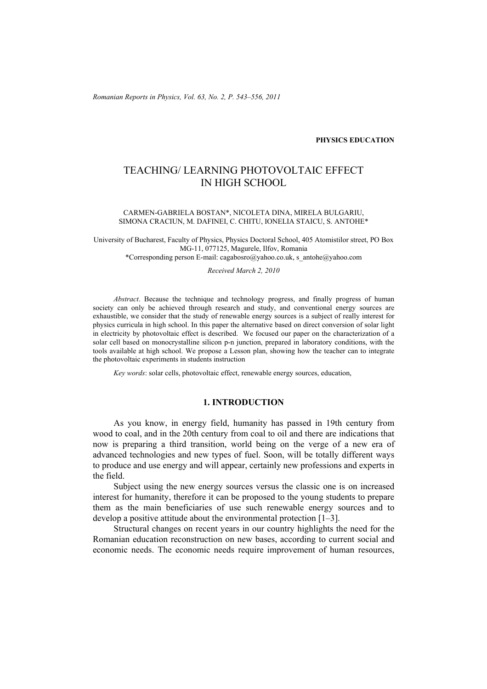*Romanian Reports in Physics, Vol. 63, No. 2, P. 543–556, 2011*

#### **PHYSICS EDUCATION**

# TEACHING/ LEARNING PHOTOVOLTAIC EFFECT IN HIGH SCHOOL

#### CARMEN-GABRIELA BOSTAN\*, NICOLETA DINA, MIRELA BULGARIU, SIMONA CRACIUN, M. DAFINEI, C. CHITU, IONELIA STAICU, S. ANTOHE\*

University of Bucharest, Faculty of Physics, Physics Doctoral School, 405 Atomistilor street, PO Box MG-11, 077125, Magurele, Ilfov, Romania

\*Corresponding person E-mail: cagabosro@yahoo.co.uk, s\_antohe@yahoo.com

*Received March 2, 2010* 

*Abstract*. Because the technique and technology progress, and finally progress of human society can only be achieved through research and study, and conventional energy sources are exhaustible, we consider that the study of renewable energy sources is a subject of really interest for physics curricula in high school. In this paper the alternative based on direct conversion of solar light in electricity by photovoltaic effect is described. We focused our paper on the characterization of a solar cell based on monocrystalline silicon p-n junction, prepared in laboratory conditions, with the tools available at high school. We propose a Lesson plan, showing how the teacher can to integrate the photovoltaic experiments in students instruction

*Key words*: solar cells, photovoltaic effect, renewable energy sources, education,

### **1. INTRODUCTION**

As you know, in energy field, humanity has passed in 19th century from wood to coal, and in the 20th century from coal to oil and there are indications that now is preparing a third transition, world being on the verge of a new era of advanced technologies and new types of fuel. Soon, will be totally different ways to produce and use energy and will appear, certainly new professions and experts in the field.

Subject using the new energy sources versus the classic one is on increased interest for humanity, therefore it can be proposed to the young students to prepare them as the main beneficiaries of use such renewable energy sources and to develop a positive attitude about the environmental protection [1–3].

Structural changes on recent years in our country highlights the need for the Romanian education reconstruction on new bases, according to current social and economic needs. The economic needs require improvement of human resources,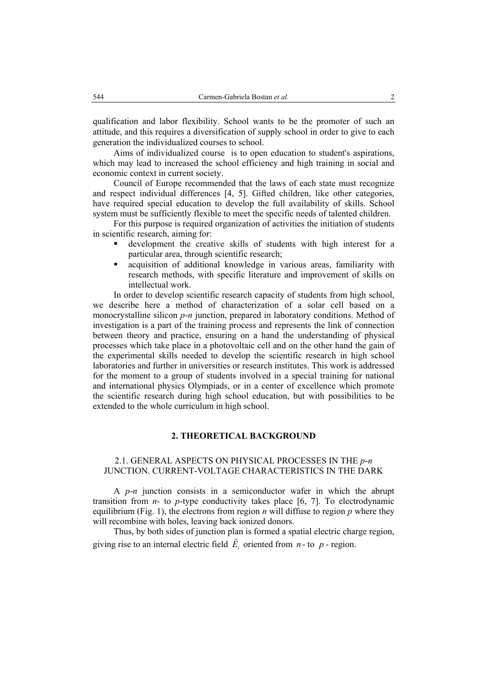qualification and labor flexibility. School wants to be the promoter of such an attitude, and this requires a diversification of supply school in order to give to each generation the individualized courses to school.

Aims of individualized course is to open education to student's aspirations, which may lead to increased the school efficiency and high training in social and economic context in current society.

Council of Europe recommended that the laws of each state must recognize and respect individual differences [4, 5]. Gifted children, like other categories, have required special education to develop the full availability of skills. School system must be sufficiently flexible to meet the specific needs of talented children.

For this purpose is required organization of activities the initiation of students in scientific research, aiming for:

- development the creative skills of students with high interest for a particular area, through scientific research;
- acquisition of additional knowledge in various areas, familiarity with research methods, with specific literature and improvement of skills on intellectual work.

In order to develop scientific research capacity of students from high school, we describe here a method of characterization of a solar cell based on a monocrystalline silicon *p*-*n* junction, prepared in laboratory conditions. Method of investigation is a part of the training process and represents the link of connection between theory and practice, ensuring on a hand the understanding of physical processes which take place in a photovoltaic cell and on the other hand the gain of the experimental skills needed to develop the scientific research in high school laboratories and further in universities or research institutes. This work is addressed for the moment to a group of students involved in a special training for national and international physics Olympiads, or in a center of excellence which promote the scientific research during high school education, but with possibilities to be extended to the whole curriculum in high school.

#### **2. THEORETICAL BACKGROUND**

#### 2.1. GENERAL ASPECTS ON PHYSICAL PROCESSES IN THE *p*-*n* JUNCTION. CURRENT-VOLTAGE CHARACTERISTICS IN THE DARK

A *p*-*n* junction consists in a semiconductor wafer in which the abrupt transition from  $n$ - to  $p$ -type conductivity takes place [6, 7]. To electrodynamic equilibrium (Fig. 1), the electrons from region  $n$  will diffuse to region  $p$  where they will recombine with holes, leaving back ionized donors.

Thus, by both sides of junction plan is formed a spatial electric charge region, G giving rise to an internal electric field  $E_i$  oriented from  $n -$  to  $p -$  region.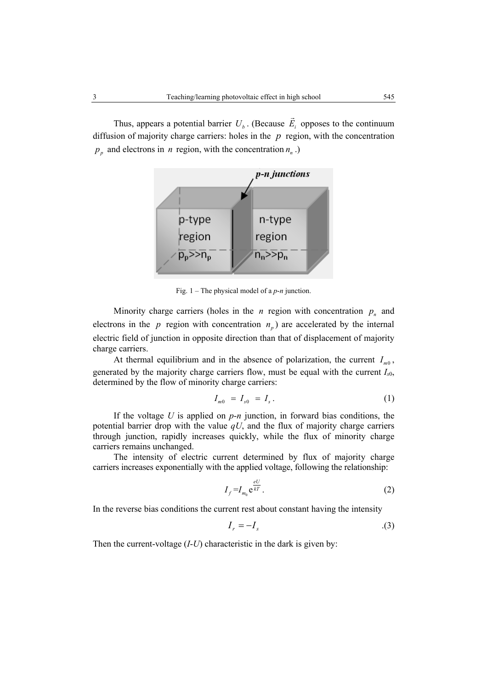Thus, appears a potential barrier  $U_b$ . (Because  $E_i$  $\overline{\phantom{a}}$  opposes to the continuum diffusion of majority charge carriers: holes in the *p* region, with the concentration  $p<sub>n</sub>$  and electrons in *n* region, with the concentration  $n<sub>n</sub>$ .)



Fig. 1 – The physical model of a *p*-*n* junction.

Minority charge carriers (holes in the *n* region with concentration  $p_n$  and electrons in the  $p$  region with concentration  $n<sub>n</sub>$ ) are accelerated by the internal electric field of junction in opposite direction than that of displacement of majority charge carriers.

At thermal equilibrium and in the absence of polarization, the current  $I_{m0}$ , generated by the majority charge carriers flow, must be equal with the current  $I_{s0}$ , determined by the flow of minority charge carriers:

$$
I_{m0} = I_{s0} = I_s.
$$
 (1)

If the voltage *U* is applied on *p*-*n* junction, in forward bias conditions, the potential barrier drop with the value *qU*, and the flux of majority charge carriers through junction, rapidly increases quickly, while the flux of minority charge carriers remains unchanged.

The intensity of electric current determined by flux of majority charge carriers increases exponentially with the applied voltage, following the relationship:

$$
I_f = I_{m_0} e^{\frac{eU}{kT}}.
$$
\n<sup>(2)</sup>

In the reverse bias conditions the current rest about constant having the intensity

$$
I_r = -I_s \tag{3}
$$

Then the current-voltage (*I*-*U*) characteristic in the dark is given by: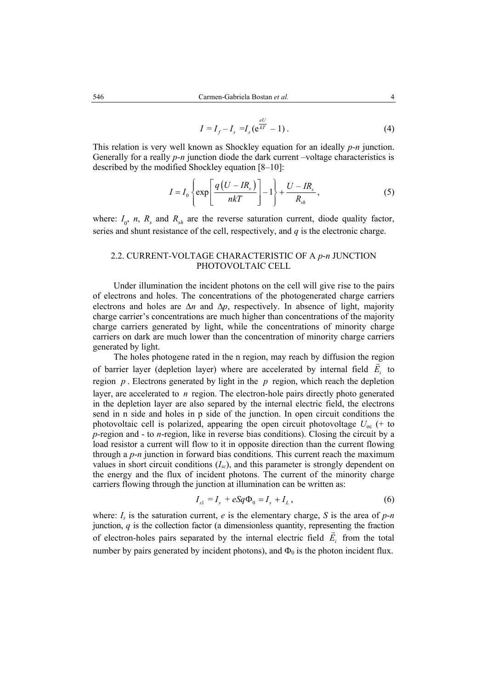$$
I = I_f - I_s = I_s (e^{\frac{eU}{kT}} - 1).
$$
 (4)

This relation is very well known as Shockley equation for an ideally *p*-*n* junction. Generally for a really *p*-*n* junction diode the dark current –voltage characteristics is described by the modified Shockley equation [8–10]:

$$
I = I_0 \left\{ \exp\left[\frac{q\left(U - IR_s\right)}{nkT}\right] - 1 \right\} + \frac{U - IR_s}{R_{sh}}, \tag{5}
$$

where:  $I_0$ , *n*,  $R_s$  and  $R_{sh}$  are the reverse saturation current, diode quality factor, series and shunt resistance of the cell, respectively, and *q* is the electronic charge.

# 2.2. CURRENT-VOLTAGE CHARACTERISTIC OF A *p*-*n* JUNCTION PHOTOVOLTAIC CELL

Under illumination the incident photons on the cell will give rise to the pairs of electrons and holes. The concentrations of the photogenerated charge carriers electrons and holes are ∆*n* and ∆*p*, respectively. In absence of light, majority charge carrier's concentrations are much higher than concentrations of the majority charge carriers generated by light, while the concentrations of minority charge carriers on dark are much lower than the concentration of minority charge carriers generated by light.

The holes photogene rated in the n region, may reach by diffusion the region of barrier layer (depletion layer) where are accelerated by internal field  $E<sub>i</sub>$  to region *p* . Electrons generated by light in the *p* region, which reach the depletion layer, are accelerated to *n* region. The electron-hole pairs directly photo generated in the depletion layer are also separed by the internal electric field, the electrons send in n side and holes in p side of the junction. In open circuit conditions the photovoltaic cell is polarized, appearing the open circuit photovoltage  $U_{\text{oc}}$  (+ to *p*-region and - to *n*-region, like in reverse bias conditions). Closing the circuit by a load resistor a current will flow to it in opposite direction than the current flowing through a *p*-*n* junction in forward bias conditions. This current reach the maximum values in short circuit conditions (*Isc*), and this parameter is strongly dependent on the energy and the flux of incident photons. The current of the minority charge carriers flowing through the junction at illumination can be written as:

$$
I_{s1} = I_s + eSq\Phi_0 = I_s + I_L,
$$
 (6)

where:  $I_s$  is the saturation current, *e* is the elementary charge, *S* is the area of  $p$ -*n* junction,  $q$  is the collection factor (a dimensionless quantity, representing the fraction of electron-holes pairs separated by the internal electric field  $E<sub>i</sub>$  from the total number by pairs generated by incident photons), and  $\Phi_0$  is the photon incident flux.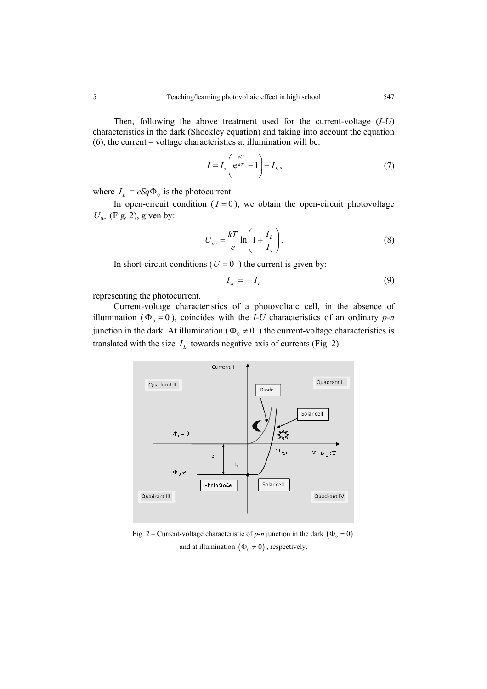Then, following the above treatment used for the current-voltage (*I*-*U*) characteristics in the dark (Shockley equation) and taking into account the equation (6), the current – voltage characteristics at illumination will be:

$$
I = I_s \left( e^{\frac{eU}{kT}} - 1 \right) - I_L, \tag{7}
$$

where  $I_L = eSq\Phi_0$  is the photocurrent.

In open-circuit condition  $(I = 0)$ , we obtain the open-circuit photovoltage  $U_{0c}$  (Fig. 2), given by:

$$
U_{oc} = \frac{kT}{e} \ln\left(1 + \frac{I_L}{I_s}\right). \tag{8}
$$

In short-circuit conditions ( $U = 0$ ) the current is given by:

$$
I_{sc} = -I_L \tag{9}
$$

representing the photocurrent.

Current-voltage characteristics of a photovoltaic cell, in the absence of illumination ( $\Phi_0 = 0$ ), coincides with the *I-U* characteristics of an ordinary *p-n* junction in the dark. At illumination ( $\Phi_0 \neq 0$ ) the current-voltage characteristics is translated with the size  $I_L$  towards negative axis of currents (Fig. 2).



Fig. 2 – Current-voltage characteristic of  $p$ -*n* junction in the dark ( $\Phi_0 = 0$ ) and at illumination  $(\Phi_0 \neq 0)$ , respectively.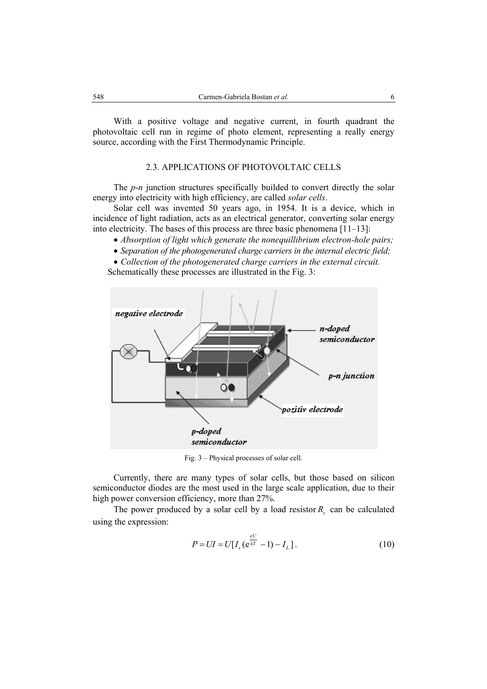With a positive voltage and negative current, in fourth quadrant the photovoltaic cell run in regime of photo element, representing a really energy source, according with the First Thermodynamic Principle.

# 2.3. APPLICATIONS OF PHOTOVOLTAIC CELLS

The *p*-*n* junction structures specifically builded to convert directly the solar energy into electricity with high efficiency, are called *solar cells*.

Solar cell was invented 50 years ago, in 1954. It is a device, which in incidence of light radiation, acts as an electrical generator, converting solar energy into electricity. The bases of this process are three basic phenomena [11–13]:

- *Absorption of light which generate the nonequillibrium electron-hole pairs;*
- *Separation of the photogenerated charge carriers in the internal electric field;*

• *Collection of the photogenerated charge carriers in the external circuit.* Schematically these processes are illustrated in the Fig. 3:



Fig. 3 – Physical processes of solar cell.

Currently, there are many types of solar cells, but those based on silicon semiconductor diodes are the most used in the large scale application, due to their high power conversion efficiency, more than 27%.

The power produced by a solar cell by a load resistor  $R_{s}$  can be calculated using the expression:

$$
P = UI = U[I_s(e^{\frac{eU}{kT}} - 1) - I_L].
$$
\n(10)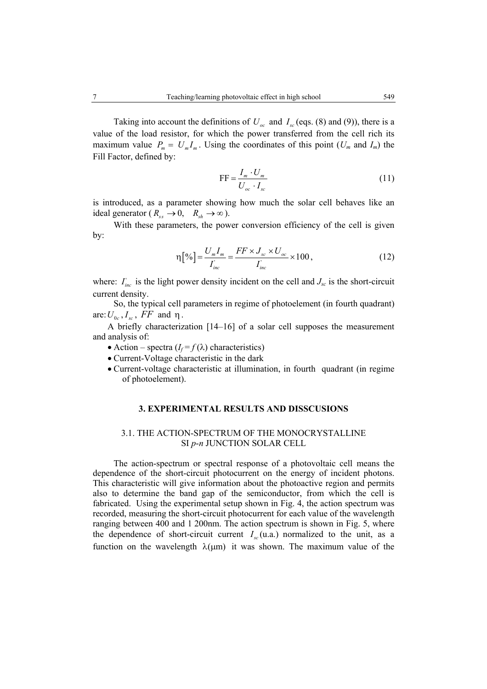Taking into account the definitions of  $U_{ac}$  and  $I_{sc}$  (eqs. (8) and (9)), there is a value of the load resistor, for which the power transferred from the cell rich its maximum value  $P_m = U_m I_m$ . Using the coordinates of this point  $(U_m$  and  $I_m)$  the Fill Factor, defined by:

$$
FF = \frac{I_m \cdot U_m}{U_{oc} \cdot I_{sc}} \tag{11}
$$

is introduced, as a parameter showing how much the solar cell behaves like an ideal generator ( $R_{ss} \to 0$ ,  $R_{sh} \to \infty$ ).

With these parameters, the power conversion efficiency of the cell is given by:

$$
\eta\left[\%\right] = \frac{U_m I_m}{I_{inc}} = \frac{FF \times J_{sc} \times U_{oc}}{I_{inc}} \times 100\,,\tag{12}
$$

where:  $I_{inc}$  is the light power density incident on the cell and  $J_{sc}$  is the short-circuit current density.

So, the typical cell parameters in regime of photoelement (in fourth quadrant) are:  $U_{0c}$ ,  $I_{sc}$ ,  $FF$  and  $\eta$ .

A briefly characterization [14–16] of a solar cell supposes the measurement and analysis of:

- Action spectra  $(I_f = f(\lambda))$  characteristics)
- Current-Voltage characteristic in the dark
- Current-voltage characteristic at illumination, in fourth quadrant (in regime of photoelement).

#### **3. EXPERIMENTAL RESULTS AND DISSCUSIONS**

#### 3.1. THE ACTION-SPECTRUM OF THE MONOCRYSTALLINE SI *p*-*n* JUNCTION SOLAR CELL

The action-spectrum or spectral response of a photovoltaic cell means the dependence of the short-circuit photocurrent on the energy of incident photons. This characteristic will give information about the photoactive region and permits also to determine the band gap of the semiconductor, from which the cell is fabricated. Using the experimental setup shown in Fig. 4, the action spectrum was recorded, measuring the short-circuit photocurrent for each value of the wavelength ranging between 400 and 1 200nm. The action spectrum is shown in Fig. 5, where the dependence of short-circuit current  $I_{sc}(u.a.)$  normalized to the unit, as a function on the wavelength  $\lambda(\mu m)$  it was shown. The maximum value of the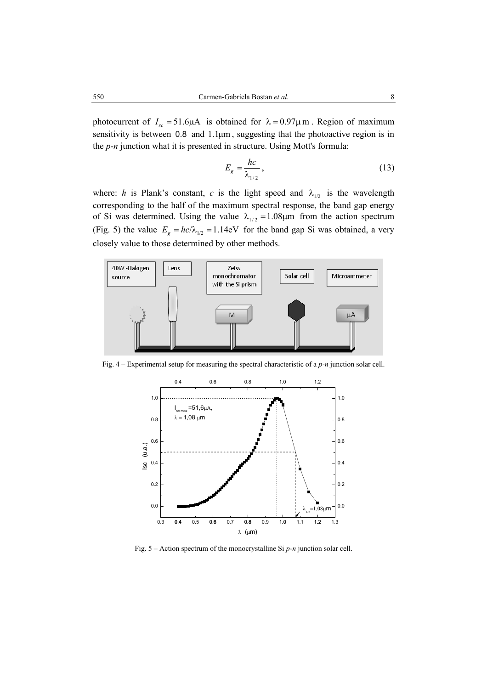photocurrent of  $I_{sc} = 51.6 \mu A$  is obtained for  $\lambda = 0.97 \mu$  m. Region of maximum sensitivity is between  $0.8$  and  $1.1 \mu m$ , suggesting that the photoactive region is in the *p*-*n* junction what it is presented in structure. Using Mott's formula:

$$
E_g = \frac{hc}{\lambda_{1/2}}\,,\tag{13}
$$

where: *h* is Plank's constant, *c* is the light speed and  $\lambda_{1/2}$  is the wavelength corresponding to the half of the maximum spectral response, the band gap energy of Si was determined. Using the value  $\lambda_{1/2} = 1.08 \mu m$  from the action spectrum (Fig. 5) the value  $E_g = hc/\lambda_{1/2} = 1.14$ eV for the band gap Si was obtained, a very closely value to those determined by other methods.



Fig. 4 – Experimental setup for measuring the spectral characteristic of a *p*-*n* junction solar cell.



Fig. 5 – Action spectrum of the monocrystalline Si *p*-*n* junction solar cell.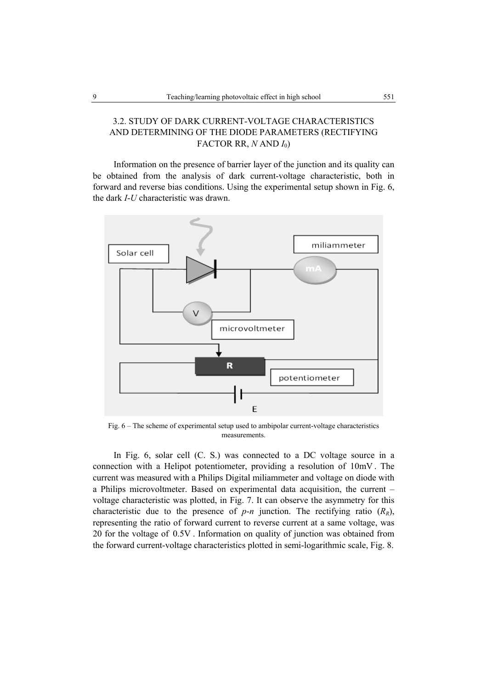# 3.2. STUDY OF DARK CURRENT-VOLTAGE CHARACTERISTICS AND DETERMINING OF THE DIODE PARAMETERS (RECTIFYING FACTOR RR,  $N$  AND  $I_0$ )

Information on the presence of barrier layer of the junction and its quality can be obtained from the analysis of dark current-voltage characteristic, both in forward and reverse bias conditions. Using the experimental setup shown in Fig. 6, the dark *I*-*U* characteristic was drawn.



Fig. 6 – The scheme of experimental setup used to ambipolar current-voltage characteristics measurements.

In Fig. 6, solar cell (C. S.) was connected to a DC voltage source in a connection with a Helipot potentiometer, providing a resolution of 10mV . The current was measured with a Philips Digital miliammeter and voltage on diode with a Philips microvoltmeter. Based on experimental data acquisition, the current – voltage characteristic was plotted, in Fig. 7. It can observe the asymmetry for this characteristic due to the presence of  $p$ -*n* junction. The rectifying ratio  $(R_R)$ , representing the ratio of forward current to reverse current at a same voltage, was 20 for the voltage of 0.5V . Information on quality of junction was obtained from the forward current-voltage characteristics plotted in semi-logarithmic scale, Fig. 8.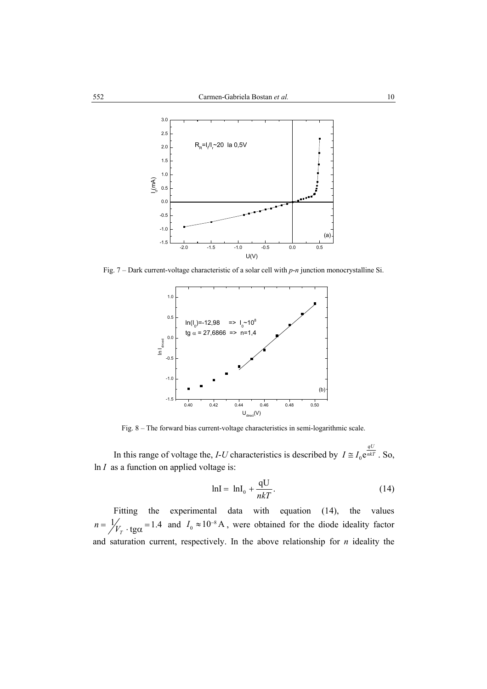

Fig. 7 – Dark current-voltage characteristic of a solar cell with *p*-*n* junction monocrystalline Si.



Fig. 8 – The forward bias current-voltage characteristics in semi-logarithmic scale.

In this range of voltage the, *I*-*U* characteristics is described by  $I \cong I_0 e^{i\pi kT}$ . So, ln *I* as a function on applied voltage is:

$$
\ln I = \ln I_0 + \frac{qU}{nkT}.
$$
\n(14)

Fitting the experimental data with equation (14), the values  $n = \frac{1}{V_r}$  · tg $\alpha = 1.4$  and  $I_0 \approx 10^{-8}$  A, were obtained for the diode ideality factor and saturation current, respectively. In the above relationship for *n* ideality the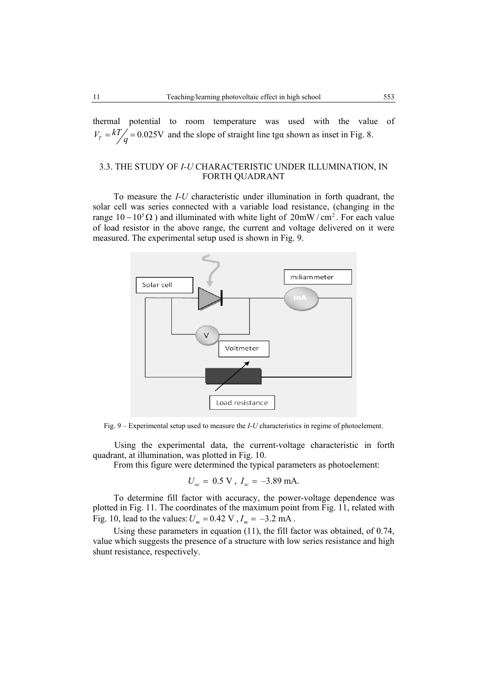thermal potential to room temperature was used with the value of  $V_T = \frac{kT}{q} = 0.025V$  and the slope of straight line tga shown as inset in Fig. 8.

# 3.3. THE STUDY OF *I-U* CHARACTERISTIC UNDER ILLUMINATION, IN FORTH QUADRANT

To measure the *I*-*U* characteristic under illumination in forth quadrant, the solar cell was series connected with a variable load resistance, (changing in the range  $10 - 10<sup>5</sup> \Omega$ ) and illuminated with white light of 20mW/cm<sup>2</sup>. For each value of load resistor in the above range, the current and voltage delivered on it were measured. The experimental setup used is shown in Fig. 9.



Fig. 9 – Experimental setup used to measure the *I*-*U* characteristics in regime of photoelement.

Using the experimental data, the current-voltage characteristic in forth quadrant, at illumination, was plotted in Fig. 10.

From this figure were determined the typical parameters as photoelement:

$$
U_{oc} = 0.5 \text{ V}, I_{sc} = -3.89 \text{ mA}.
$$

To determine fill factor with accuracy, the power-voltage dependence was plotted in Fig. 11. The coordinates of the maximum point from Fig. 11, related with Fig. 10, lead to the values:  $U_m = 0.42 \text{ V}$ ,  $I_m = -3.2 \text{ mA}$ .

Using these parameters in equation (11), the fill factor was obtained, of 0.74, value which suggests the presence of a structure with low series resistance and high shunt resistance, respectively.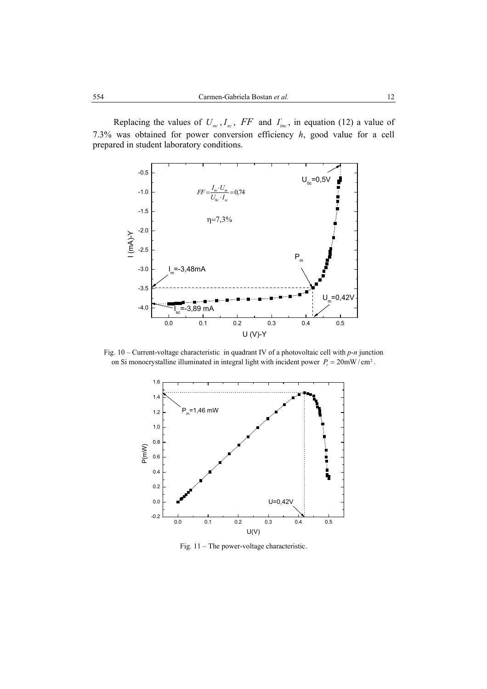Replacing the values of  $U_{oc}$ ,  $I_{sc}$ ,  $FF$  and  $I_{inc}$ , in equation (12) a value of 7.3% was obtained for power conversion efficiency *h*, good value for a cell prepared in student laboratory conditions.



Fig. 10 – Current-voltage characteristic in quadrant IV of a photovoltaic cell with *p*-*n* junction on Si monocrystalline illuminated in integral light with incident power  $P_i = 20$ mW/cm<sup>2</sup>.



Fig. 11 – The power-voltage characteristic.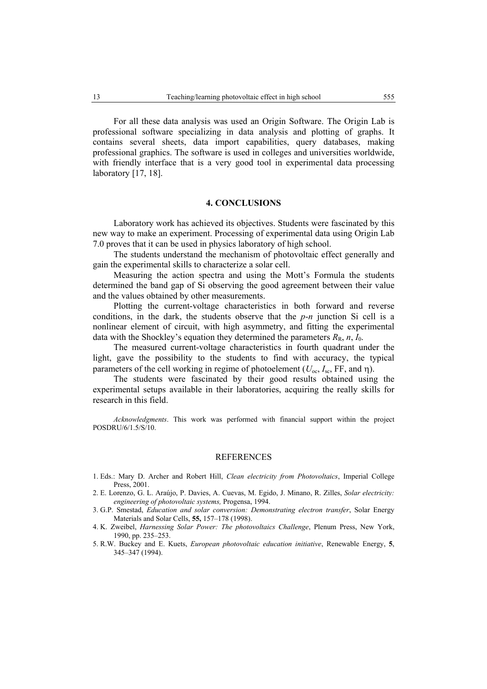For all these data analysis was used an Origin Software. The Origin Lab is professional software specializing in data analysis and plotting of graphs. It contains several sheets, data import capabilities, query databases, making professional graphics. The software is used in colleges and universities worldwide, with friendly interface that is a very good tool in experimental data processing laboratory [17, 18].

#### **4. CONCLUSIONS**

Laboratory work has achieved its objectives. Students were fascinated by this new way to make an experiment. Processing of experimental data using Origin Lab 7.0 proves that it can be used in physics laboratory of high school.

The students understand the mechanism of photovoltaic effect generally and gain the experimental skills to characterize a solar cell.

Measuring the action spectra and using the Mott's Formula the students determined the band gap of Si observing the good agreement between their value and the values obtained by other measurements.

Plotting the current-voltage characteristics in both forward and reverse conditions, in the dark, the students observe that the *p*-*n* junction Si cell is a nonlinear element of circuit, with high asymmetry, and fitting the experimental data with the Shockley's equation they determined the parameters  $R_R$ ,  $n$ ,  $I_0$ .

The measured current-voltage characteristics in fourth quadrant under the light, gave the possibility to the students to find with accuracy, the typical parameters of the cell working in regime of photoelement ( $U_{\alpha c}$ ,  $I_{\alpha c}$ , FF, and  $\eta$ ).

The students were fascinated by their good results obtained using the experimental setups available in their laboratories, acquiring the really skills for research in this field.

*Acknowledgments*. This work was performed with financial support within the project POSDRU/6/1.5/S/10.

#### **REFERENCES**

- 1. Eds.: Mary D. Archer and Robert Hill, *Clean electricity from Photovoltaics*, Imperial College Press, 2001.
- 2. E. Lorenzo, G. L. Araújo, P. Davies, A. Cuevas, M. Egido, J. Minano, R. Zilles, *Solar electricity: engineering of photovoltaic systems,* Progensa, 1994.
- 3. G.P. Smestad, *Education and solar conversion: Demonstrating electron transfer*, Solar Energy Materials and Solar Cells, **55,** 157–178 (1998).
- 4. K. Zweibel, *Harnessing Solar Power: The photovoltaics Challenge*, Plenum Press, New York, 1990, pp. 235–253.
- 5. R.W. Buckey and E. Kuets, *European photovoltaic education initiative*, Renewable Energy, **5**, 345–347 (1994).